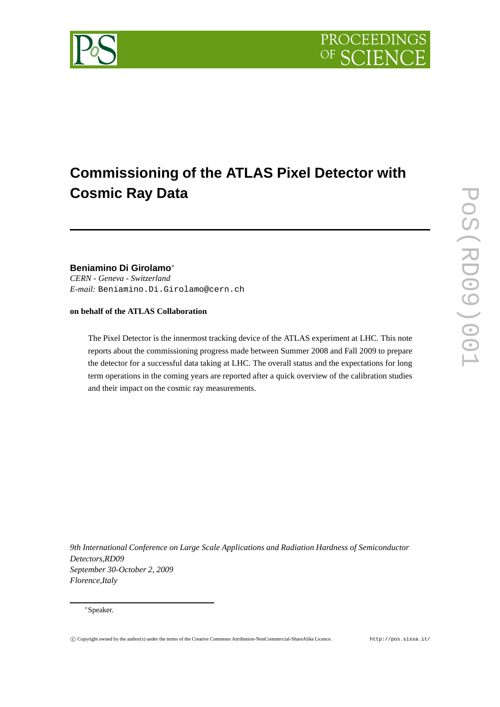



# **Commissioning of the ATLAS Pixel Detector with Cosmic Ray Data**

# **Beniamino Di Girolamo**<sup>∗</sup>

*CERN - Geneva - Switzerland E-mail:* Beniamino.Di.Girolamo@cern.ch

**on behalf of the ATLAS Collaboration**

The Pixel Detector is the innermost tracking device of the ATLAS experiment at LHC. This note reports about the commissioning progress made between Summer 2008 and Fall 2009 to prepare the detector for a successful data taking at LHC. The overall status and the expectations for long term operations in the coming years are reported after a quick overview of the calibration studies and their impact on the cosmic ray measurements.

*9th International Conference on Large Scale Applications and Radiation Hardness of Semiconductor Detectors,RD09 September 30-October 2, 2009 Florence,Italy*

<sup>∗</sup>Speaker.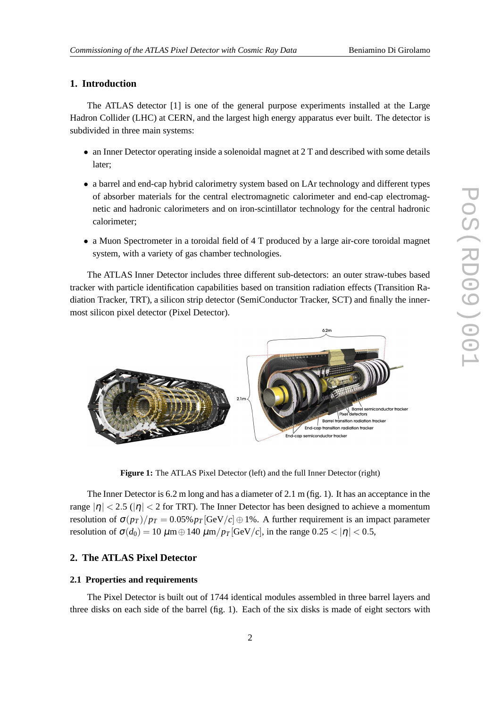### **1. Introduction**

The ATLAS detector [1] is one of the general purpose experiments installed at the Large Hadron Collider (LHC) at CERN, and the largest high energy apparatus ever built. The detector is subdivided in three main systems:

- an Inner Detector operating inside a solenoidal magnet at 2 T and described with some details later;
- a barrel and end-cap hybrid calorimetry system based on LAr technology and different types of absorber materials for the central electromagnetic calorimeter and end-cap electromagnetic and hadronic calorimeters and on iron-scintillator technology for the central hadronic calorimeter;
- a Muon Spectrometer in a toroidal field of 4 T produced by a large air-core toroidal magnet system, with a variety of gas chamber technologies.

The ATLAS Inner Detector includes three different sub-detectors: an outer straw-tubes based tracker with particle identification capabilities based on transition radiation effects (Transition Radiation Tracker, TRT), a silicon strip detector (SemiConductor Tracker, SCT) and finally the innermost silicon pixel detector (Pixel Detector).



**Figure 1:** The ATLAS Pixel Detector (left) and the full Inner Detector (right)

The Inner Detector is 6.2 m long and has a diameter of 2.1 m (fig. 1). It has an acceptance in the range  $|\eta| < 2.5$  ( $|\eta| < 2$  for TRT). The Inner Detector has been designed to achieve a momentum resolution of  $\sigma(p_T)/p_T = 0.05\% p_T$  [GeV/*c*]  $\oplus$  1%. A further requirement is an impact parameter resolution of  $\sigma(d_0) = 10 \ \mu \text{m} \oplus 140 \ \mu \text{m}/p_T[\text{GeV}/c]$ , in the range  $0.25 < |\eta| < 0.5$ ,

# **2. The ATLAS Pixel Detector**

#### **2.1 Properties and requirements**

The Pixel Detector is built out of 1744 identical modules assembled in three barrel layers and three disks on each side of the barrel (fig. 1). Each of the six disks is made of eight sectors with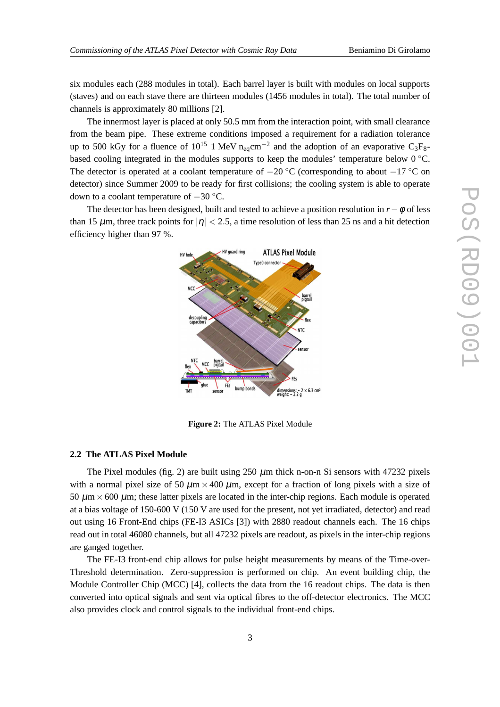six modules each (288 modules in total). Each barrel layer is built with modules on local supports (staves) and on each stave there are thirteen modules (1456 modules in total). The total number of channels is approximately 80 millions [2].

The innermost layer is placed at only 50.5 mm from the interaction point, with small clearance from the beam pipe. These extreme conditions imposed a requirement for a radiation tolerance up to 500 kGy for a fluence of 10<sup>15</sup> 1 MeV n<sub>eq</sub>cm<sup>-2</sup> and the adoption of an evaporative C<sub>3</sub>F<sub>8</sub>based cooling integrated in the modules supports to keep the modules' temperature below  $0^{\circ}$ C. The detector is operated at a coolant temperature of  $-20$  °C (corresponding to about  $-17$  °C on detector) since Summer 2009 to be ready for first collisions; the cooling system is able to operate down to a coolant temperature of −30 ◦C.

The detector has been designed, built and tested to achieve a position resolution in  $r-\phi$  of less than 15  $\mu$ m, three track points for  $|\eta| < 2.5$ , a time resolution of less than 25 ns and a hit detection efficiency higher than 97 %.



**Figure 2:** The ATLAS Pixel Module

#### **2.2 The ATLAS Pixel Module**

The Pixel modules (fig. 2) are built using  $250 \mu$ m thick n-on-n Si sensors with 47232 pixels with a normal pixel size of 50  $\mu$ m × 400  $\mu$ m, except for a fraction of long pixels with a size of 50  $\mu$ m  $\times$  600  $\mu$ m; these latter pixels are located in the inter-chip regions. Each module is operated at a bias voltage of 150-600 V (150 V are used for the present, not yet irradiated, detector) and read out using 16 Front-End chips (FE-I3 ASICs [3]) with 2880 readout channels each. The 16 chips read out in total 46080 channels, but all 47232 pixels are readout, as pixels in the inter-chip regions are ganged together.

The FE-I3 front-end chip allows for pulse height measurements by means of the Time-over-Threshold determination. Zero-suppression is performed on chip. An event building chip, the Module Controller Chip (MCC) [4], collects the data from the 16 readout chips. The data is then converted into optical signals and sent via optical fibres to the off-detector electronics. The MCC also provides clock and control signals to the individual front-end chips.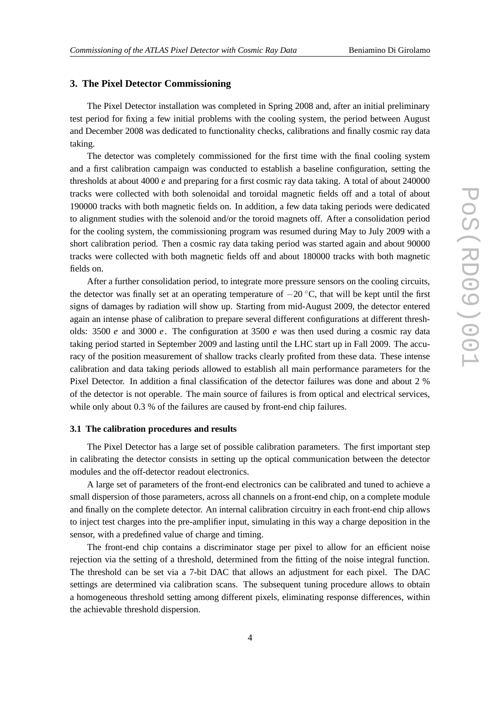#### **3. The Pixel Detector Commissioning**

The Pixel Detector installation was completed in Spring 2008 and, after an initial preliminary test period for fixing a few initial problems with the cooling system, the period between August and December 2008 was dedicated to functionality checks, calibrations and finally cosmic ray data taking.

The detector was completely commissioned for the first time with the final cooling system and a first calibration campaign was conducted to establish a baseline configuration, setting the thresholds at about 4000 *e* and preparing for a first cosmic ray data taking. A total of about 240000 tracks were collected with both solenoidal and toroidal magnetic fields off and a total of about 190000 tracks with both magnetic fields on. In addition, a few data taking periods were dedicated to alignment studies with the solenoid and/or the toroid magnets off. After a consolidation period for the cooling system, the commissioning program was resumed during May to July 2009 with a short calibration period. Then a cosmic ray data taking period was started again and about 90000 tracks were collected with both magnetic fields off and about 180000 tracks with both magnetic fields on.

After a further consolidation period, to integrate more pressure sensors on the cooling circuits, the detector was finally set at an operating temperature of  $-20^{\circ}$ C, that will be kept until the first signs of damages by radiation will show up. Starting from mid-August 2009, the detector entered again an intense phase of calibration to prepare several different configurations at different thresholds: 3500 *e* and 3000 *e*. The configuration at 3500 *e* was then used during a cosmic ray data taking period started in September 2009 and lasting until the LHC start up in Fall 2009. The accuracy of the position measurement of shallow tracks clearly profited from these data. These intense calibration and data taking periods allowed to establish all main performance parameters for the Pixel Detector. In addition a final classification of the detector failures was done and about 2 % of the detector is not operable. The main source of failures is from optical and electrical services, while only about 0.3 % of the failures are caused by front-end chip failures.

#### **3.1 The calibration procedures and results**

The Pixel Detector has a large set of possible calibration parameters. The first important step in calibrating the detector consists in setting up the optical communication between the detector modules and the off-detector readout electronics.

A large set of parameters of the front-end electronics can be calibrated and tuned to achieve a small dispersion of those parameters, across all channels on a front-end chip, on a complete module and finally on the complete detector. An internal calibration circuitry in each front-end chip allows to inject test charges into the pre-amplifier input, simulating in this way a charge deposition in the sensor, with a predefined value of charge and timing.

The front-end chip contains a discriminator stage per pixel to allow for an efficient noise rejection via the setting of a threshold, determined from the fitting of the noise integral function. The threshold can be set via a 7-bit DAC that allows an adjustment for each pixel. The DAC settings are determined via calibration scans. The subsequent tuning procedure allows to obtain a homogeneous threshold setting among different pixels, eliminating response differences, within the achievable threshold dispersion.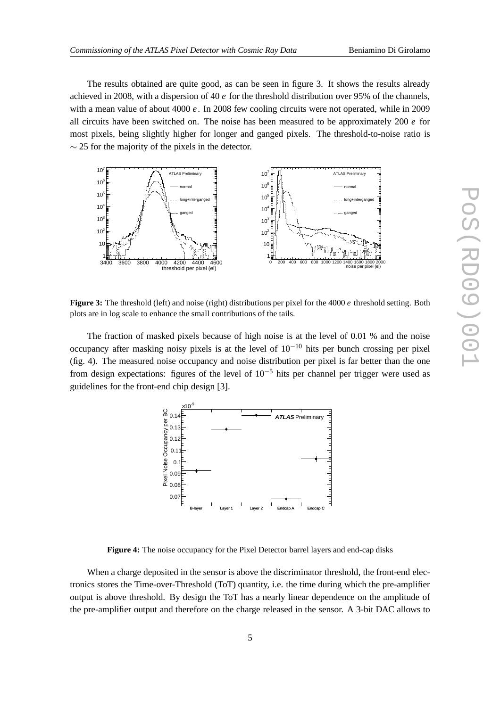The results obtained are quite good, as can be seen in figure 3. It shows the results already achieved in 2008, with a dispersion of 40 *e* for the threshold distribution over 95% of the channels, with a mean value of about 4000 *e*. In 2008 few cooling circuits were not operated, while in 2009 all circuits have been switched on. The noise has been measured to be approximately  $200 e$  for most pixels, being slightly higher for longer and ganged pixels. The threshold-to-noise ratio is  $\sim$  25 for the majority of the pixels in the detector.



**Figure 3:** The threshold (left) and noise (right) distributions per pixel for the 4000 *e* threshold setting. Both plots are in log scale to enhance the small contributions of the tails.

The fraction of masked pixels because of high noise is at the level of 0.01 % and the noise occupancy after masking noisy pixels is at the level of  $10^{-10}$  hits per bunch crossing per pixel (fig. 4). The measured noise occupancy and noise distribution per pixel is far better than the one from design expectations: figures of the level of  $10^{-5}$  hits per channel per trigger were used as guidelines for the front-end chip design [3].



**Figure 4:** The noise occupancy for the Pixel Detector barrel layers and end-cap disks

When a charge deposited in the sensor is above the discriminator threshold, the front-end electronics stores the Time-over-Threshold (ToT) quantity, i.e. the time during which the pre-amplifier output is above threshold. By design the ToT has a nearly linear dependence on the amplitude of the pre-amplifier output and therefore on the charge released in the sensor. A 3-bit DAC allows to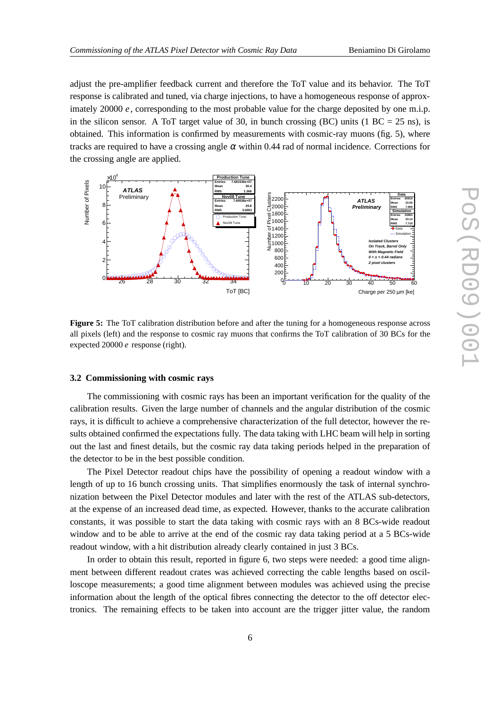adjust the pre-amplifier feedback current and therefore the ToT value and its behavior. The ToT response is calibrated and tuned, via charge injections, to have a homogeneous response of approximately 20000 *e*, corresponding to the most probable value for the charge deposited by one m.i.p. in the silicon sensor. A ToT target value of 30, in bunch crossing (BC) units (1 BC = 25 ns), is obtained. This information is confirmed by measurements with cosmic-ray muons (fig. 5), where tracks are required to have a crossing angle  $\alpha$  within 0.44 rad of normal incidence. Corrections for the crossing angle are applied.



**Figure 5:** The ToT calibration distribution before and after the tuning for a homogeneous response across all pixels (left) and the response to cosmic ray muons that confirms the ToT calibration of 30 BCs for the expected 20000 *e* response (right).

#### **3.2 Commissioning with cosmic rays**

The commissioning with cosmic rays has been an important verification for the quality of the calibration results. Given the large number of channels and the angular distribution of the cosmic rays, it is difficult to achieve a comprehensive characterization of the full detector, however the results obtained confirmed the expectations fully. The data taking with LHC beam will help in sorting out the last and finest details, but the cosmic ray data taking periods helped in the preparation of the detector to be in the best possible condition.

The Pixel Detector readout chips have the possibility of opening a readout window with a length of up to 16 bunch crossing units. That simplifies enormously the task of internal synchronization between the Pixel Detector modules and later with the rest of the ATLAS sub-detectors, at the expense of an increased dead time, as expected. However, thanks to the accurate calibration constants, it was possible to start the data taking with cosmic rays with an 8 BCs-wide readout window and to be able to arrive at the end of the cosmic ray data taking period at a 5 BCs-wide readout window, with a hit distribution already clearly contained in just 3 BCs.

In order to obtain this result, reported in figure 6, two steps were needed: a good time alignment between different readout crates was achieved correcting the cable lengths based on oscilloscope measurements; a good time alignment between modules was achieved using the precise information about the length of the optical fibres connecting the detector to the off detector electronics. The remaining effects to be taken into account are the trigger jitter value, the random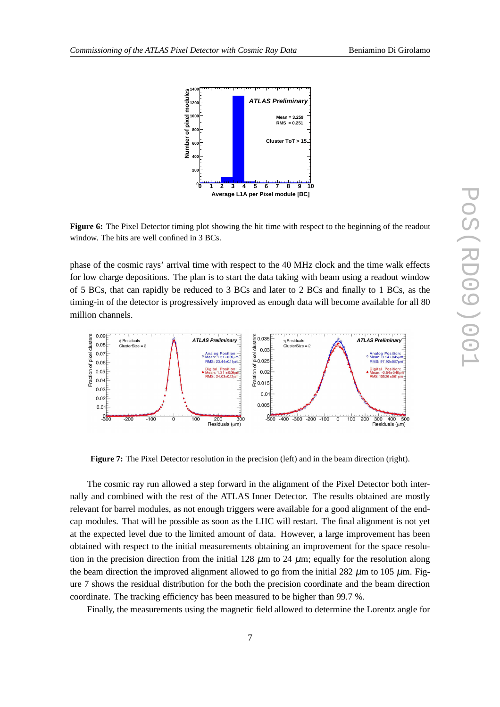

**Figure 6:** The Pixel Detector timing plot showing the hit time with respect to the beginning of the readout window. The hits are well confined in 3 BCs.

phase of the cosmic rays' arrival time with respect to the 40 MHz clock and the time walk effects for low charge depositions. The plan is to start the data taking with beam using a readout window of 5 BCs, that can rapidly be reduced to 3 BCs and later to 2 BCs and finally to 1 BCs, as the timing-in of the detector is progressively improved as enough data will become available for all 80 million channels.



**Figure 7:** The Pixel Detector resolution in the precision (left) and in the beam direction (right).

The cosmic ray run allowed a step forward in the alignment of the Pixel Detector both internally and combined with the rest of the ATLAS Inner Detector. The results obtained are mostly relevant for barrel modules, as not enough triggers were available for a good alignment of the endcap modules. That will be possible as soon as the LHC will restart. The final alignment is not yet at the expected level due to the limited amount of data. However, a large improvement has been obtained with respect to the initial measurements obtaining an improvement for the space resolution in the precision direction from the initial 128  $\mu$ m to 24  $\mu$ m; equally for the resolution along the beam direction the improved alignment allowed to go from the initial 282  $\mu$ m to 105  $\mu$ m. Figure 7 shows the residual distribution for the both the precision coordinate and the beam direction coordinate. The tracking efficiency has been measured to be higher than 99.7 %.

Finally, the measurements using the magnetic field allowed to determine the Lorentz angle for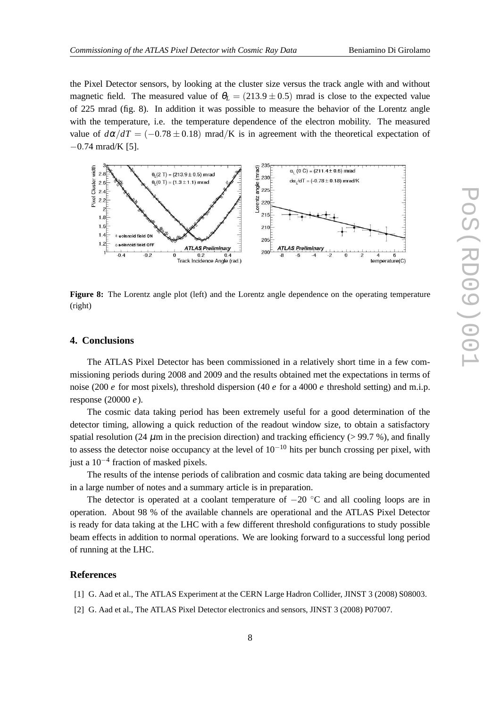the Pixel Detector sensors, by looking at the cluster size versus the track angle with and without magnetic field. The measured value of  $\theta_L = (213.9 \pm 0.5)$  mrad is close to the expected value of 225 mrad (fig. 8). In addition it was possible to measure the behavior of the Lorentz angle with the temperature, i.e. the temperature dependence of the electron mobility. The measured value of  $d\alpha/dT = (-0.78 \pm 0.18)$  mrad/K is in agreement with the theoretical expectation of −0.74 mrad/K [5].



**Figure 8:** The Lorentz angle plot (left) and the Lorentz angle dependence on the operating temperature (right)

## **4. Conclusions**

The ATLAS Pixel Detector has been commissioned in a relatively short time in a few commissioning periods during 2008 and 2009 and the results obtained met the expectations in terms of noise (200 *e* for most pixels), threshold dispersion (40 *e* for a 4000 *e* threshold setting) and m.i.p. response (20000 *e*).

The cosmic data taking period has been extremely useful for a good determination of the detector timing, allowing a quick reduction of the readout window size, to obtain a satisfactory spatial resolution (24  $\mu$ m in the precision direction) and tracking efficiency (> 99.7 %), and finally to assess the detector noise occupancy at the level of  $10^{-10}$  hits per bunch crossing per pixel, with just a 10−<sup>4</sup> fraction of masked pixels.

The results of the intense periods of calibration and cosmic data taking are being documented in a large number of notes and a summary article is in preparation.

The detector is operated at a coolant temperature of  $-20$  °C and all cooling loops are in operation. About 98 % of the available channels are operational and the ATLAS Pixel Detector is ready for data taking at the LHC with a few different threshold configurations to study possible beam effects in addition to normal operations. We are looking forward to a successful long period of running at the LHC.

#### **References**

- [1] G. Aad et al., The ATLAS Experiment at the CERN Large Hadron Collider, JINST 3 (2008) S08003.
- [2] G. Aad et al., The ATLAS Pixel Detector electronics and sensors, JINST 3 (2008) P07007.